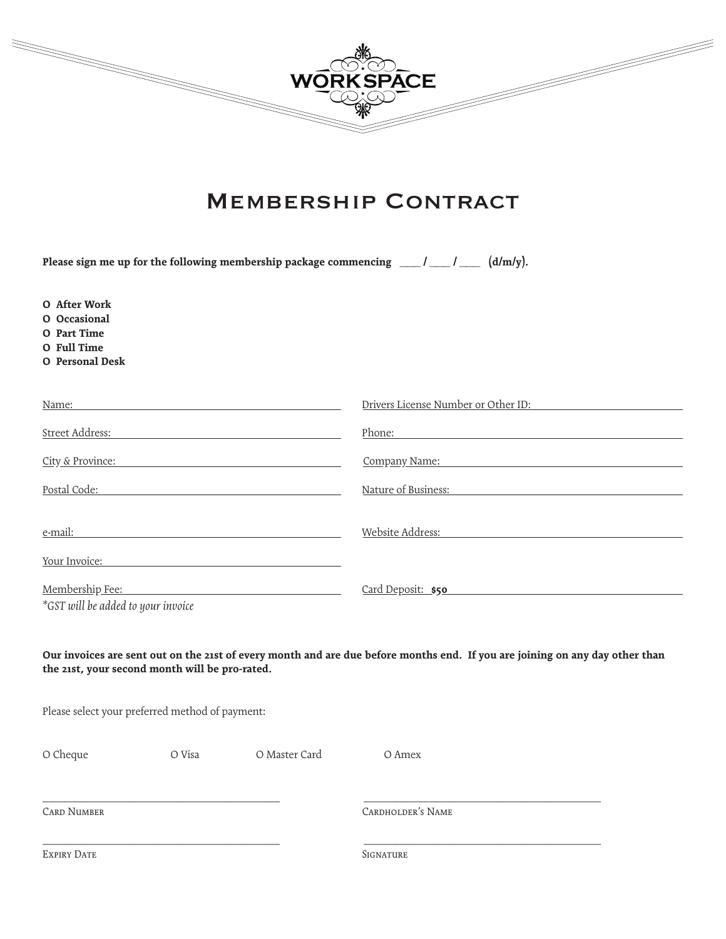

# Membership Contract

| Please sign me up for the following membership package commencing $\frac{1}{\sqrt{1-\frac{1}{n}}}$<br>$(d/m/y)$ . |        |               |                                                                                                                              |
|-------------------------------------------------------------------------------------------------------------------|--------|---------------|------------------------------------------------------------------------------------------------------------------------------|
| O After Work<br>O Occasional<br>O Part Time<br>O Full Time<br>O Personal Desk                                     |        |               |                                                                                                                              |
| Name:                                                                                                             |        |               | Drivers License Number or Other ID:                                                                                          |
| Street Address:                                                                                                   |        |               | Phone:                                                                                                                       |
| City & Province:                                                                                                  |        |               | Company Name: Company Name:                                                                                                  |
| Postal Code: Note and Social Code:                                                                                |        |               | Nature of Business:                                                                                                          |
| e-mail:                                                                                                           |        |               | Website Address:                                                                                                             |
|                                                                                                                   |        | Your Invoice: |                                                                                                                              |
| Membership Fee: National Account of the Membership Section 1999<br>*GST will be added to your invoice             |        |               | Card Deposit: \$50                                                                                                           |
| the 21st, your second month will be pro-rated.                                                                    |        |               | Our invoices are sent out on the 21st of every month and are due before months end. If you are joining on any day other than |
| Please select your preferred method of payment:                                                                   |        |               |                                                                                                                              |
| O Cheque                                                                                                          | O Visa | O Master Card | O Amex                                                                                                                       |
| <b>CARD NUMBER</b>                                                                                                |        |               | <b>CARDHOLDER'S NAME</b>                                                                                                     |
| <b>EXPIRY DATE</b>                                                                                                |        |               | SIGNATURE                                                                                                                    |